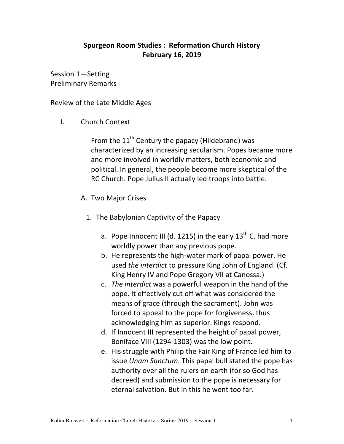## **Spurgeon Room Studies: Reformation Church History February 16, 2019**

Session 1—Setting Preliminary Remarks

Review of the Late Middle Ages

I. Church Context

From the  $11<sup>th</sup>$  Century the papacy (Hildebrand) was characterized by an increasing secularism. Popes became more and more involved in worldly matters, both economic and political. In general, the people become more skeptical of the RC Church. Pope Julius II actually led troops into battle.

- A. Two Major Crises
	- 1. The Babylonian Captivity of the Papacy
		- a. Pope Innocent III (d. 1215) in the early  $13<sup>th</sup>$  C. had more worldly power than any previous pope.
		- b. He represents the high-water mark of papal power. He used *the interdict* to pressure King John of England. (Cf. King Henry IV and Pope Gregory VII at Canossa.)
		- c. *The interdict* was a powerful weapon in the hand of the pope. It effectively cut off what was considered the means of grace (through the sacrament). John was forced to appeal to the pope for forgiveness, thus acknowledging him as superior. Kings respond.
		- d. If Innocent III represented the height of papal power, Boniface VIII (1294-1303) was the low point.
		- e. His struggle with Philip the Fair King of France led him to issue *Unam Sanctum*. This papal bull stated the pope has authority over all the rulers on earth (for so God has decreed) and submission to the pope is necessary for eternal salvation. But in this he went too far.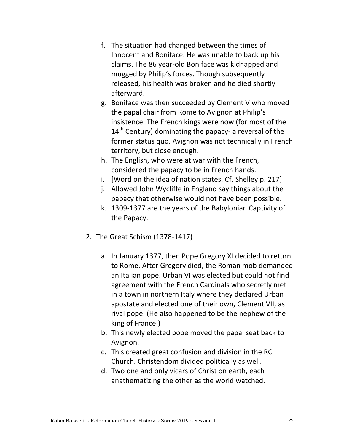- f. The situation had changed between the times of Innocent and Boniface. He was unable to back up his claims. The 86 year-old Boniface was kidnapped and mugged by Philip's forces. Though subsequently released, his health was broken and he died shortly afterward.
- g. Boniface was then succeeded by Clement V who moved the papal chair from Rome to Avignon at Philip's insistence. The French kings were now (for most of the  $14<sup>th</sup>$  Century) dominating the papacy- a reversal of the former status quo. Avignon was not technically in French territory, but close enough.
- h. The English, who were at war with the French, considered the papacy to be in French hands.
- i. [Word on the idea of nation states. Cf. Shelley  $p. 217$ ]
- j. Allowed John Wycliffe in England say things about the papacy that otherwise would not have been possible.
- k. 1309-1377 are the years of the Babylonian Captivity of the Papacy.
- 2. The Great Schism (1378-1417)
	- a. In January 1377, then Pope Gregory XI decided to return to Rome. After Gregory died, the Roman mob demanded an Italian pope. Urban VI was elected but could not find agreement with the French Cardinals who secretly met in a town in northern Italy where they declared Urban apostate and elected one of their own, Clement VII, as rival pope. (He also happened to be the nephew of the king of France.)
	- b. This newly elected pope moved the papal seat back to Avignon.
	- c. This created great confusion and division in the RC Church. Christendom divided politically as well.
	- d. Two one and only vicars of Christ on earth, each anathematizing the other as the world watched.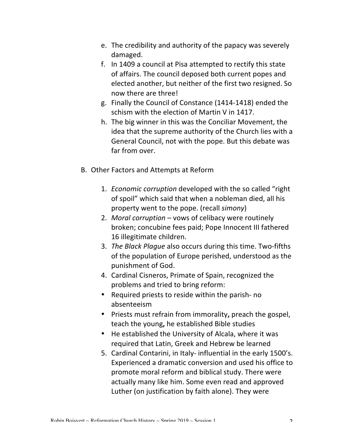- e. The credibility and authority of the papacy was severely damaged.
- f. In 1409 a council at Pisa attempted to rectify this state of affairs. The council deposed both current popes and elected another, but neither of the first two resigned. So now there are three!
- g. Finally the Council of Constance (1414-1418) ended the schism with the election of Martin V in 1417.
- h. The big winner in this was the Conciliar Movement, the idea that the supreme authority of the Church lies with a General Council, not with the pope. But this debate was far from over.
- B. Other Factors and Attempts at Reform
	- 1. *Economic corruption* developed with the so called "right" of spoil" which said that when a nobleman died, all his property went to the pope. (recall *simony*)
	- 2. *Moral corruption* vows of celibacy were routinely broken; concubine fees paid; Pope Innocent III fathered 16 illegitimate children.
	- 3. *The Black Plague* also occurs during this time. Two-fifths of the population of Europe perished, understood as the punishment of God.
	- 4. Cardinal Cisneros, Primate of Spain, recognized the problems and tried to bring reform:
	- Required priests to reside within the parish- no absenteeism
	- Priests must refrain from immorality, preach the gospel, teach the young, he established Bible studies
	- He established the University of Alcala, where it was required that Latin, Greek and Hebrew be learned
	- 5. Cardinal Contarini, in Italy- influential in the early 1500's. Experienced a dramatic conversion and used his office to promote moral reform and biblical study. There were actually many like him. Some even read and approved Luther (on justification by faith alone). They were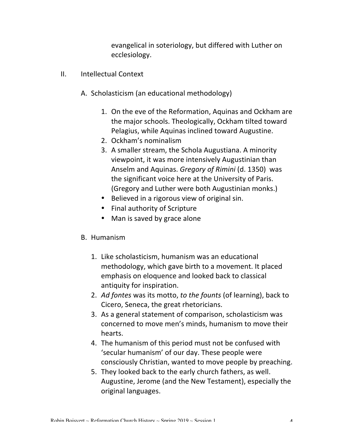evangelical in soteriology, but differed with Luther on ecclesiology.

- II. Intellectual Context
	- A. Scholasticism (an educational methodology)
		- 1. On the eve of the Reformation, Aquinas and Ockham are the major schools. Theologically, Ockham tilted toward Pelagius, while Aquinas inclined toward Augustine.
		- 2. Ockham's nominalism
		- 3. A smaller stream, the Schola Augustiana. A minority viewpoint, it was more intensively Augustinian than Anselm and Aquinas. *Gregory of Rimini* (d. 1350) was the significant voice here at the University of Paris. (Gregory and Luther were both Augustinian monks.)
		- Believed in a rigorous view of original sin.
		- Final authority of Scripture
		- Man is saved by grace alone

## B. Humanism

- 1. Like scholasticism, humanism was an educational methodology, which gave birth to a movement. It placed emphasis on eloquence and looked back to classical antiquity for inspiration.
- 2. Ad fontes was its motto, to the founts (of learning), back to Cicero, Seneca, the great rhetoricians.
- 3. As a general statement of comparison, scholasticism was concerned to move men's minds, humanism to move their hearts.
- 4. The humanism of this period must not be confused with 'secular humanism' of our day. These people were consciously Christian, wanted to move people by preaching.
- 5. They looked back to the early church fathers, as well. Augustine, Jerome (and the New Testament), especially the original languages.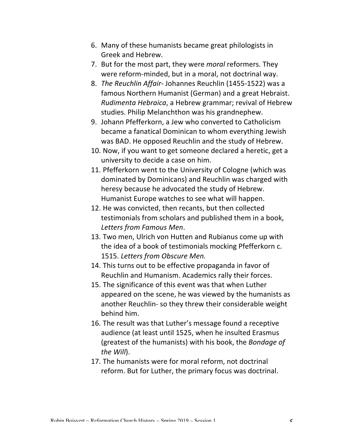- 6. Many of these humanists became great philologists in Greek and Hebrew.
- 7. But for the most part, they were *moral* reformers. They were reform-minded, but in a moral, not doctrinal way.
- 8. *The Reuchlin Affair- Johannes Reuchlin* (1455-1522) was a famous Northern Humanist (German) and a great Hebraist. *Rudimenta Hebraica*, a Hebrew grammar; revival of Hebrew studies. Philip Melanchthon was his grandnephew.
- 9. Johann Pfefferkorn, a Jew who converted to Catholicism became a fanatical Dominican to whom everything Jewish was BAD. He opposed Reuchlin and the study of Hebrew.
- 10. Now, if you want to get someone declared a heretic, get a university to decide a case on him.
- 11. Pfefferkorn went to the University of Cologne (which was dominated by Dominicans) and Reuchlin was charged with heresy because he advocated the study of Hebrew. Humanist Europe watches to see what will happen.
- 12. He was convicted, then recants, but then collected testimonials from scholars and published them in a book, *Letters from Famous Men*.
- 13. Two men, Ulrich von Hutten and Rubianus come up with the idea of a book of testimonials mocking Pfefferkorn c. 1515. Letters from Obscure Men.
- 14. This turns out to be effective propaganda in favor of Reuchlin and Humanism. Academics rally their forces.
- 15. The significance of this event was that when Luther appeared on the scene, he was viewed by the humanists as another Reuchlin- so they threw their considerable weight behind him.
- 16. The result was that Luther's message found a receptive audience (at least until 1525, when he insulted Erasmus (greatest of the humanists) with his book, the *Bondage of the Will*).
- 17. The humanists were for moral reform, not doctrinal reform. But for Luther, the primary focus was doctrinal.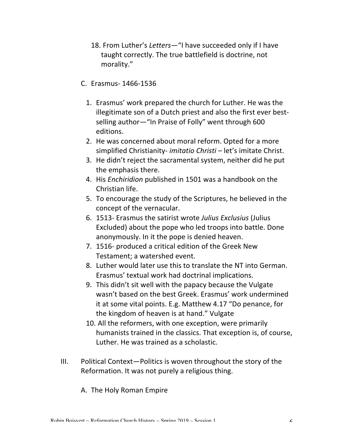- 18. From Luther's Letters-''I have succeeded only if I have taught correctly. The true battlefield is doctrine, not morality."
- C. Erasmus- 1466-1536
	- 1. Erasmus' work prepared the church for Luther. He was the illegitimate son of a Dutch priest and also the first ever bestselling author-"In Praise of Folly" went through 600 editions.
	- 2. He was concerned about moral reform. Opted for a more simplified Christianity- *imitatio Christi* – let's imitate Christ.
	- 3. He didn't reject the sacramental system, neither did he put the emphasis there.
	- 4. His *Enchiridion* published in 1501 was a handbook on the Christian life.
	- 5. To encourage the study of the Scriptures, he believed in the concept of the vernacular.
	- 6. 1513- Erasmus the satirist wrote Julius Exclusius (Julius Excluded) about the pope who led troops into battle. Done anonymously. In it the pope is denied heaven.
	- 7. 1516- produced a critical edition of the Greek New Testament; a watershed event.
	- 8. Luther would later use this to translate the NT into German. Erasmus' textual work had doctrinal implications.
	- 9. This didn't sit well with the papacy because the Vulgate wasn't based on the best Greek. Erasmus' work undermined it at some vital points. E.g. Matthew 4.17 "Do penance, for the kingdom of heaven is at hand." Vulgate
	- 10. All the reformers, with one exception, were primarily humanists trained in the classics. That exception is, of course, Luther. He was trained as a scholastic.
- $III.$  Political Context-Politics is woven throughout the story of the Reformation. It was not purely a religious thing.
	- A. The Holy Roman Empire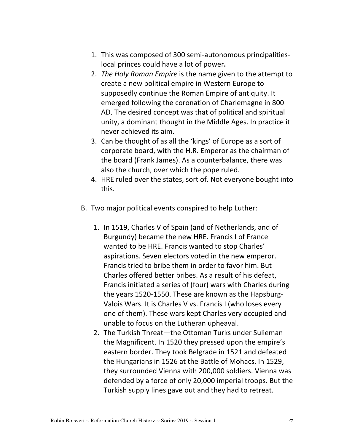- 1. This was composed of 300 semi-autonomous principalitieslocal princes could have a lot of power.
- 2. *The Holy Roman Empire* is the name given to the attempt to create a new political empire in Western Europe to supposedly continue the Roman Empire of antiquity. It emerged following the coronation of Charlemagne in 800 AD. The desired concept was that of political and spiritual unity, a dominant thought in the Middle Ages. In practice it never achieved its aim.
- 3. Can be thought of as all the 'kings' of Europe as a sort of corporate board, with the H.R. Emperor as the chairman of the board (Frank James). As a counterbalance, there was also the church, over which the pope ruled.
- 4. HRE ruled over the states, sort of. Not everyone bought into this.
- B. Two major political events conspired to help Luther:
	- 1. In 1519, Charles V of Spain (and of Netherlands, and of Burgundy) became the new HRE. Francis I of France wanted to be HRE. Francis wanted to stop Charles' aspirations. Seven electors voted in the new emperor. Francis tried to bribe them in order to favor him. But Charles offered better bribes. As a result of his defeat. Francis initiated a series of (four) wars with Charles during the years 1520-1550. These are known as the Hapsburg-Valois Wars. It is Charles V vs. Francis I (who loses every one of them). These wars kept Charles very occupied and unable to focus on the Lutheran upheaval.
	- 2. The Turkish Threat—the Ottoman Turks under Sulieman the Magnificent. In 1520 they pressed upon the empire's eastern border. They took Belgrade in 1521 and defeated the Hungarians in 1526 at the Battle of Mohacs. In 1529, they surrounded Vienna with 200,000 soldiers. Vienna was defended by a force of only 20,000 imperial troops. But the Turkish supply lines gave out and they had to retreat.